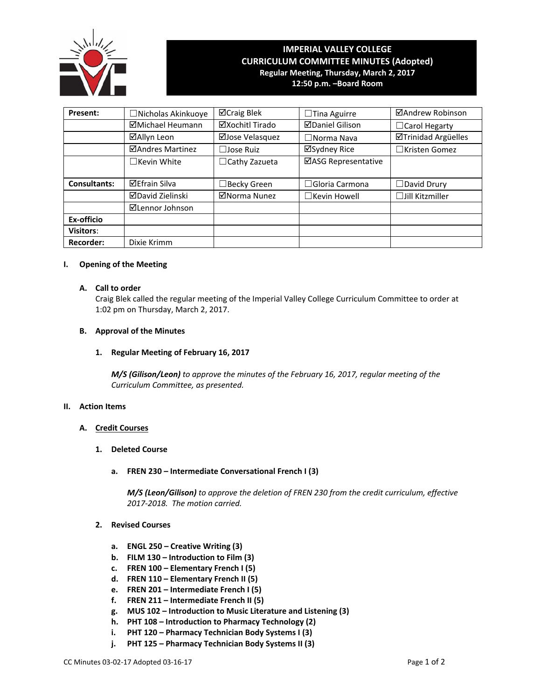

# **IMPERIAL VALLEY COLLEGE CURRICULUM COMMITTEE MINUTES (Adopted) Regular Meeting, Thursday, March 2, 2017 12:50 p.m. –Board Room**

| Present:            | □Nicholas Akinkuoye  | ⊠Craig Blek          | $\Box$ Tina Aguirre    | ⊠Andrew Robinson           |
|---------------------|----------------------|----------------------|------------------------|----------------------------|
|                     | ⊠Michael Heumann     | ⊠Xochitl Tirado      | <b>ØDaniel Gilison</b> | □ Carol Hegarty            |
|                     | ⊠Allyn Leon          | ⊠Jose Velasquez      | $\square$ Norma Nava   | <b>ØTrinidad Argüelles</b> |
|                     | ⊠Andres Martinez     | $\Box$ Jose Ruiz     | ⊠Sydney Rice           | $\Box$ Kristen Gomez       |
|                     | $\Box$ Kevin White   | $\Box$ Cathy Zazueta | ⊠ASG Representative    |                            |
|                     |                      |                      |                        |                            |
| <b>Consultants:</b> | <b>⊠Efrain Silva</b> | $\Box$ Becky Green   | $\Box$ Gloria Carmona  | $\Box$ David Drury         |
|                     | ⊠David Zielinski     | ⊠Norma Nunez         | $\Box$ Kevin Howell    | $\Box$ Jill Kitzmiller     |
|                     | ⊠Lennor Johnson      |                      |                        |                            |
| Ex-officio          |                      |                      |                        |                            |
| <b>Visitors:</b>    |                      |                      |                        |                            |
| <b>Recorder:</b>    | Dixie Krimm          |                      |                        |                            |

#### **I. Opening of the Meeting**

## **A. Call to order**

Craig Blek called the regular meeting of the Imperial Valley College Curriculum Committee to order at 1:02 pm on Thursday, March 2, 2017.

## **B. Approval of the Minutes**

# **1. Regular Meeting of February 16, 2017**

*M/S (Gilison/Leon) to approve the minutes of the February 16, 2017, regular meeting of the Curriculum Committee, as presented.* 

#### **II. Action Items**

# **A. Credit Courses**

- **1. Deleted Course**
	- **a. FREN 230 – Intermediate Conversational French I (3)**

*M/S (Leon/Gilison) to approve the deletion of FREN 230 from the credit curriculum, effective 2017‐2018. The motion carried.*

# **2. Revised Courses**

- **a. ENGL 250 – Creative Writing (3)**
- **b. FILM 130 – Introduction to Film (3)**
- **c. FREN 100 – Elementary French I (5)**
- **d. FREN 110 – Elementary French II (5)**
- **e. FREN 201 – Intermediate French I (5)**
- **f. FREN 211 – Intermediate French II (5)**
- **g. MUS 102 – Introduction to Music Literature and Listening (3)**
- **h. PHT 108 – Introduction to Pharmacy Technology (2)**
- **i. PHT 120 – Pharmacy Technician Body Systems I (3)**
- **j. PHT 125 – Pharmacy Technician Body Systems II (3)**